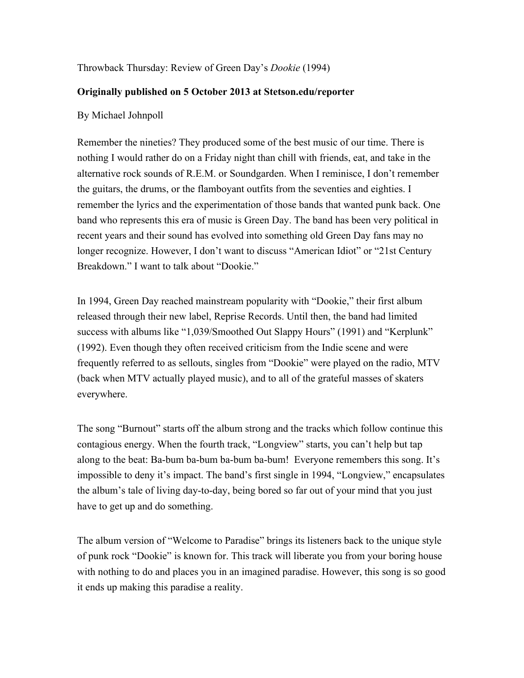## Throwback Thursday: Review of Green Day's *Dookie* (1994)

## **Originally published on 5 October 2013 at Stetson.edu/reporter**

## By Michael Johnpoll

Remember the nineties? They produced some of the best music of our time. There is nothing I would rather do on a Friday night than chill with friends, eat, and take in the alternative rock sounds of R.E.M. or Soundgarden. When I reminisce, I don't remember the guitars, the drums, or the flamboyant outfits from the seventies and eighties. I remember the lyrics and the experimentation of those bands that wanted punk back. One band who represents this era of music is Green Day. The band has been very political in recent years and their sound has evolved into something old Green Day fans may no longer recognize. However, I don't want to discuss "American Idiot" or "21st Century Breakdown." I want to talk about "Dookie."

In 1994, Green Day reached mainstream popularity with "Dookie," their first album released through their new label, Reprise Records. Until then, the band had limited success with albums like "1,039/Smoothed Out Slappy Hours" (1991) and "Kerplunk" (1992). Even though they often received criticism from the Indie scene and were frequently referred to as sellouts, singles from "Dookie" were played on the radio, MTV (back when MTV actually played music), and to all of the grateful masses of skaters everywhere.

The song "Burnout" starts off the album strong and the tracks which follow continue this contagious energy. When the fourth track, "Longview" starts, you can't help but tap along to the beat: Ba-bum ba-bum ba-bum ba-bum! Everyone remembers this song. It's impossible to deny it's impact. The band's first single in 1994, "Longview," encapsulates the album's tale of living day-to-day, being bored so far out of your mind that you just have to get up and do something.

The album version of "Welcome to Paradise" brings its listeners back to the unique style of punk rock "Dookie" is known for. This track will liberate you from your boring house with nothing to do and places you in an imagined paradise. However, this song is so good it ends up making this paradise a reality.